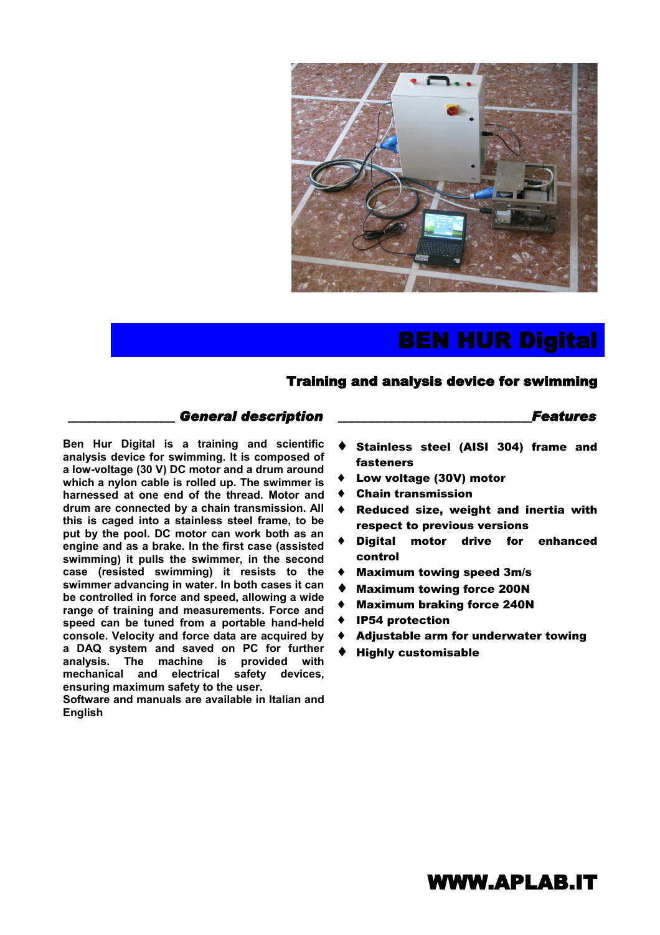

# BEN HUR Digital

#### Training and analysis device for swimming

#### \_\_\_\_\_\_\_\_\_\_*\_\_\_\_\_\_ General description* \_\_\_\_\_\_\_\_\_\_\_\_\_\_\_\_\_\_\_\_\_\_\_\_\_\_\_\_\_*Features*

**Ben Hur Digital is a training and scientific analysis device for swimming. It is composed of a low-voltage (30 V) DC motor and a drum around which a nylon cable is rolled up. The swimmer is harnessed at one end of the thread. Motor and drum are connected by a chain transmission. All this is caged into a stainless steel frame, to be put by the pool. DC motor can work both as an engine and as a brake. In the first case (assisted swimming) it pulls the swimmer, in the second case (resisted swimming) it resists to the swimmer advancing in water. In both cases it can be controlled in force and speed, allowing a wide range of training and measurements. Force and speed can be tuned from a portable hand-held console. Velocity and force data are acquired by a DAQ system and saved on PC for further analysis. The machine is provided with mechanical and electrical safety devices, ensuring maximum safety to the user.**

**Software and manuals are available in Italian and English**

- Stainless steel (AISI 304) frame and fasteners
- Low voltage (30V) motor
- **Chain transmission**
- Reduced size, weight and inertia with respect to previous versions
- Digital motor drive for enhanced control
- **Maximum towing speed 3m/s**
- **Maximum towing force 200N**
- **Maximum braking force 240N**
- **IP54 protection**
- Adjustable arm for underwater towing
- **Highly customisable**

### WWW.APLAB.IT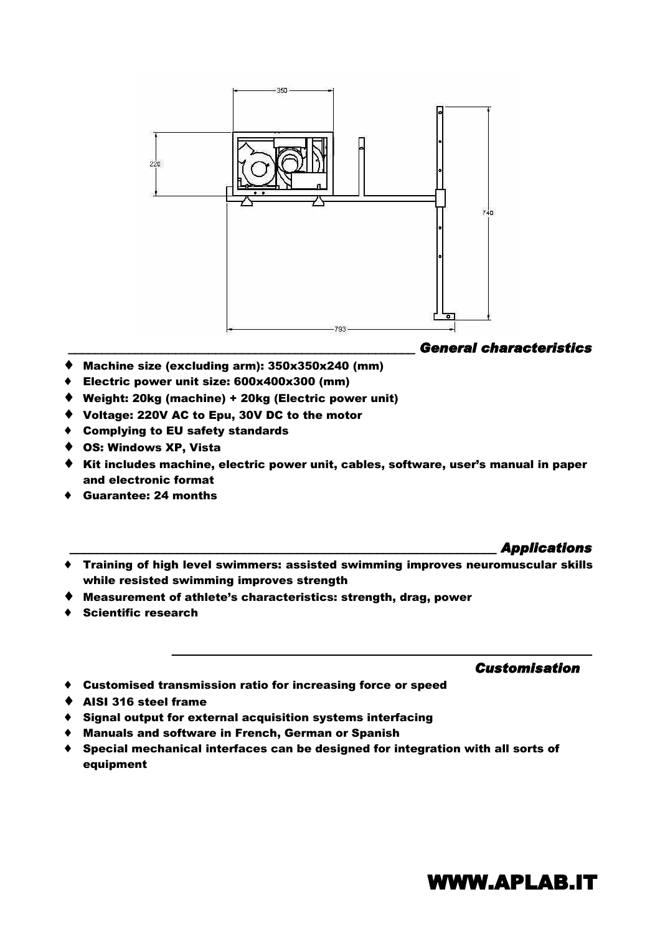

#### *\_\_\_\_\_\_\_\_\_\_\_\_\_\_\_\_\_\_\_\_\_\_\_\_\_\_\_\_\_\_\_\_\_\_\_\_\_\_\_\_\_\_\_\_\_\_\_\_\_\_\_\_ General characteristics*

- ♦ Machine size (excluding arm): 350x350x240 (mm)
- ♦ Electric power unit size: 600x400x300 (mm)
- ♦ Weight: 20kg (machine) + 20kg (Electric power unit)
- ♦ Voltage: 220V AC to Epu, 30V DC to the motor
- ♦ Complying to EU safety standards
- ♦ OS: Windows XP, Vista
- ♦ Kit includes machine, electric power unit, cables, software, user's manual in paper and electronic format
- Guarantee: 24 months

#### *\_\_\_\_\_\_\_\_\_\_\_\_\_\_\_\_\_\_\_\_\_\_\_\_\_\_\_\_\_\_\_\_\_\_\_\_\_\_\_\_\_\_\_\_\_\_\_\_\_\_\_\_\_\_\_\_\_\_\_\_\_\_\_\_ Applications*

♦ Training of high level swimmers: assisted swimming improves neuromuscular skills while resisted swimming improves strength

*\_\_\_\_\_\_\_\_\_\_\_\_\_\_\_\_\_\_\_\_\_\_\_\_\_\_\_\_\_\_\_\_\_\_\_\_\_\_\_\_\_\_\_\_\_\_\_\_\_\_\_\_\_\_\_\_\_\_\_\_\_\_\_* 

- ♦ Measurement of athlete's characteristics: strength, drag, power
- ♦ Scientific research

#### *Customisation*

- ♦ Customised transmission ratio for increasing force or speed
- ♦ AISI 316 steel frame
- ♦ Signal output for external acquisition systems interfacing
- ♦ Manuals and software in French, German or Spanish
- ♦ Special mechanical interfaces can be designed for integration with all sorts of equipment

### WWW.APLAB.IT